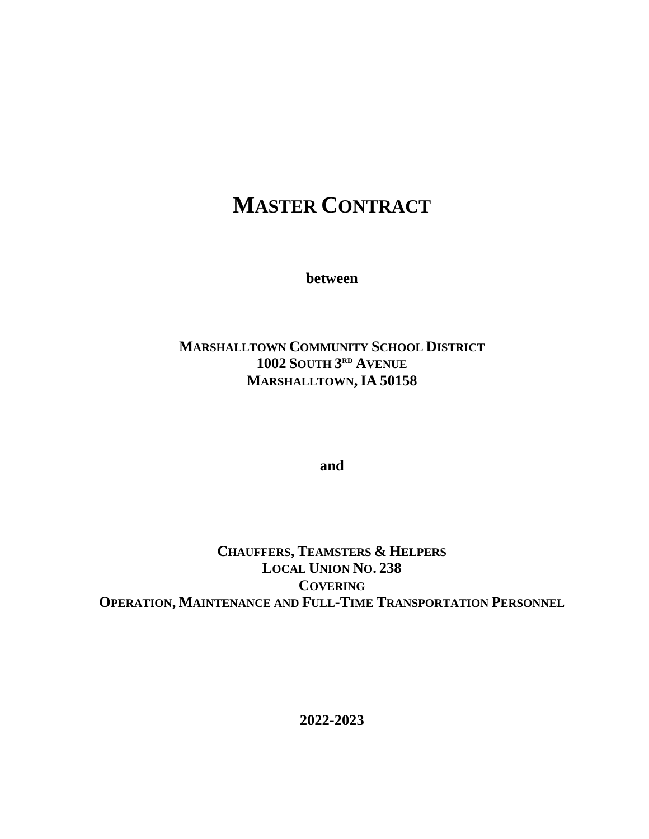# **MASTER CONTRACT**

**between**

# **MARSHALLTOWN COMMUNITY SCHOOL DISTRICT 1002 SOUTH 3 RD AVENUE MARSHALLTOWN,IA 50158**

**and**

**CHAUFFERS, TEAMSTERS & HELPERS LOCAL UNION NO. 238 COVERING OPERATION, MAINTENANCE AND FULL-TIME TRANSPORTATION PERSONNEL**

**2022-2023**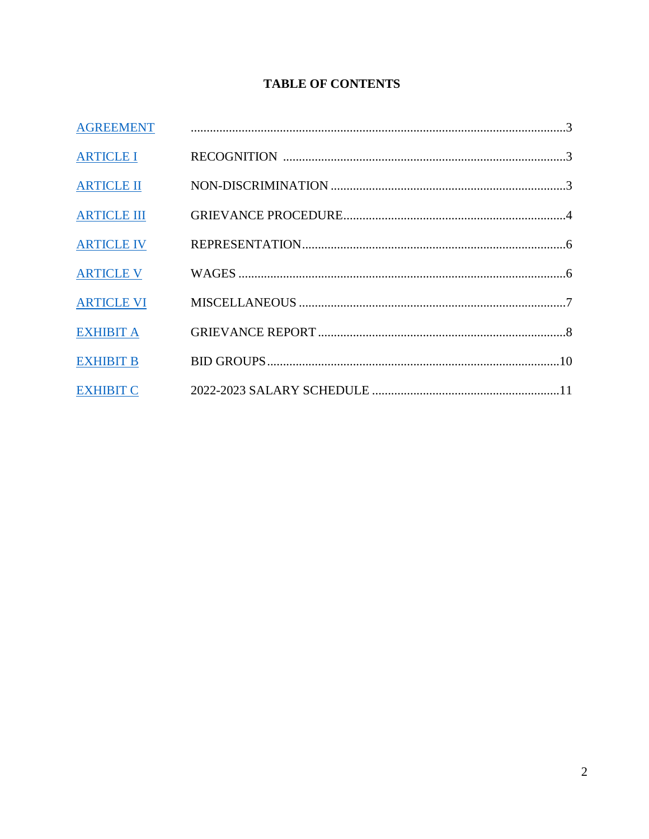# **TABLE OF CONTENTS**

| <b>AGREEMENT</b>   |  |
|--------------------|--|
| <b>ARTICLE I</b>   |  |
| <b>ARTICLE II</b>  |  |
| <b>ARTICLE III</b> |  |
| <b>ARTICLE IV</b>  |  |
| <b>ARTICLE V</b>   |  |
| <b>ARTICLE VI</b>  |  |
| <b>EXHIBIT A</b>   |  |
| <b>EXHIBIT B</b>   |  |
| <b>EXHIBIT C</b>   |  |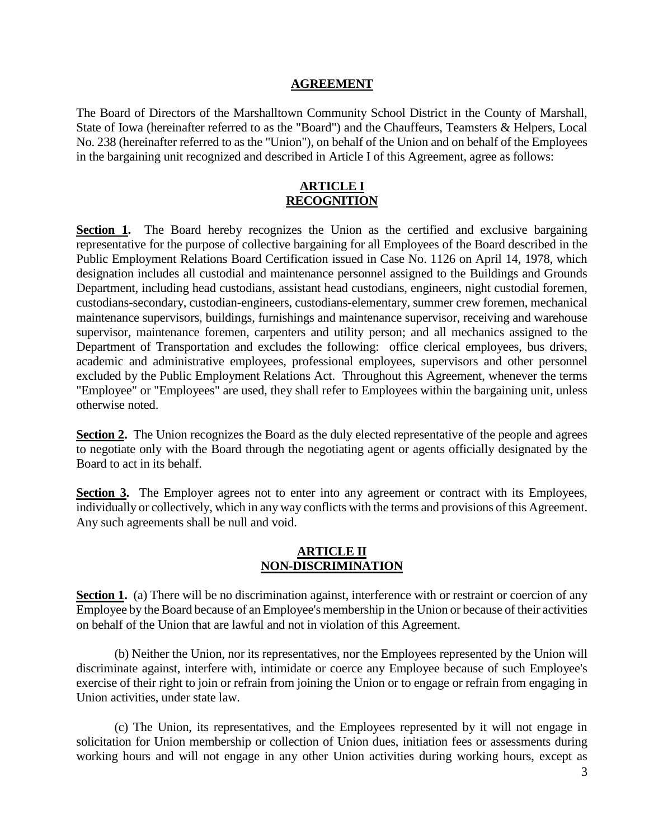#### **AGREEMENT**

<span id="page-2-0"></span>The Board of Directors of the Marshalltown Community School District in the County of Marshall, State of Iowa (hereinafter referred to as the "Board") and the Chauffeurs, Teamsters & Helpers, Local No. 238 (hereinafter referred to as the "Union"), on behalf of the Union and on behalf of the Employees in the bargaining unit recognized and described in Article I of this Agreement, agree as follows:

#### **ARTICLE I RECOGNITION**

<span id="page-2-1"></span>**Section 1.** The Board hereby recognizes the Union as the certified and exclusive bargaining representative for the purpose of collective bargaining for all Employees of the Board described in the Public Employment Relations Board Certification issued in Case No. 1126 on April 14, 1978, which designation includes all custodial and maintenance personnel assigned to the Buildings and Grounds Department, including head custodians, assistant head custodians, engineers, night custodial foremen, custodians-secondary, custodian-engineers, custodians-elementary, summer crew foremen, mechanical maintenance supervisors, buildings, furnishings and maintenance supervisor, receiving and warehouse supervisor, maintenance foremen, carpenters and utility person; and all mechanics assigned to the Department of Transportation and excludes the following: office clerical employees, bus drivers, academic and administrative employees, professional employees, supervisors and other personnel excluded by the Public Employment Relations Act. Throughout this Agreement, whenever the terms "Employee" or "Employees" are used, they shall refer to Employees within the bargaining unit, unless otherwise noted.

**Section 2.** The Union recognizes the Board as the duly elected representative of the people and agrees to negotiate only with the Board through the negotiating agent or agents officially designated by the Board to act in its behalf.

**Section 3.** The Employer agrees not to enter into any agreement or contract with its Employees, individually or collectively, which in any way conflicts with the terms and provisions of this Agreement. Any such agreements shall be null and void.

#### **ARTICLE II NON-DISCRIMINATION**

<span id="page-2-2"></span>**Section 1.** (a) There will be no discrimination against, interference with or restraint or coercion of any Employee by the Board because of an Employee's membership in the Union or because of their activities on behalf of the Union that are lawful and not in violation of this Agreement.

(b) Neither the Union, nor its representatives, nor the Employees represented by the Union will discriminate against, interfere with, intimidate or coerce any Employee because of such Employee's exercise of their right to join or refrain from joining the Union or to engage or refrain from engaging in Union activities, under state law.

(c) The Union, its representatives, and the Employees represented by it will not engage in solicitation for Union membership or collection of Union dues, initiation fees or assessments during working hours and will not engage in any other Union activities during working hours, except as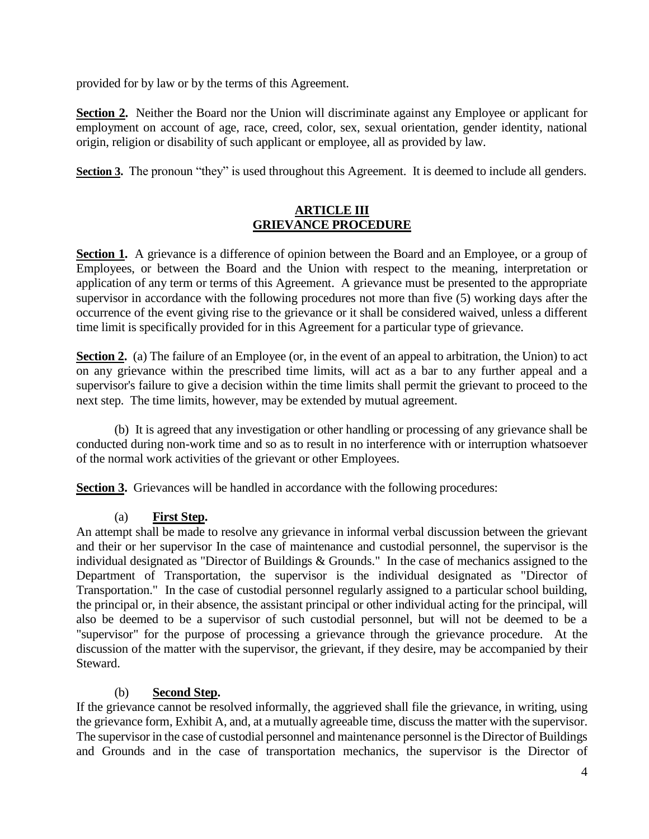provided for by law or by the terms of this Agreement.

**Section 2.** Neither the Board nor the Union will discriminate against any Employee or applicant for employment on account of age, race, creed, color, sex, sexual orientation, gender identity, national origin, religion or disability of such applicant or employee, all as provided by law.

<span id="page-3-0"></span>**Section 3.** The pronoun "they" is used throughout this Agreement. It is deemed to include all genders.

## **ARTICLE III GRIEVANCE PROCEDURE**

**Section 1.** A grievance is a difference of opinion between the Board and an Employee, or a group of Employees, or between the Board and the Union with respect to the meaning, interpretation or application of any term or terms of this Agreement. A grievance must be presented to the appropriate supervisor in accordance with the following procedures not more than five (5) working days after the occurrence of the event giving rise to the grievance or it shall be considered waived, unless a different time limit is specifically provided for in this Agreement for a particular type of grievance.

**Section 2.** (a) The failure of an Employee (or, in the event of an appeal to arbitration, the Union) to act on any grievance within the prescribed time limits, will act as a bar to any further appeal and a supervisor's failure to give a decision within the time limits shall permit the grievant to proceed to the next step. The time limits, however, may be extended by mutual agreement.

(b) It is agreed that any investigation or other handling or processing of any grievance shall be conducted during non-work time and so as to result in no interference with or interruption whatsoever of the normal work activities of the grievant or other Employees.

**Section 3.** Grievances will be handled in accordance with the following procedures:

## (a) **First Step.**

An attempt shall be made to resolve any grievance in informal verbal discussion between the grievant and their or her supervisor In the case of maintenance and custodial personnel, the supervisor is the individual designated as "Director of Buildings & Grounds." In the case of mechanics assigned to the Department of Transportation, the supervisor is the individual designated as "Director of Transportation." In the case of custodial personnel regularly assigned to a particular school building, the principal or, in their absence, the assistant principal or other individual acting for the principal, will also be deemed to be a supervisor of such custodial personnel, but will not be deemed to be a "supervisor" for the purpose of processing a grievance through the grievance procedure. At the discussion of the matter with the supervisor, the grievant, if they desire, may be accompanied by their Steward.

#### (b) **Second Step.**

If the grievance cannot be resolved informally, the aggrieved shall file the grievance, in writing, using the grievance form, Exhibit A, and, at a mutually agreeable time, discuss the matter with the supervisor. The supervisor in the case of custodial personnel and maintenance personnel is the Director of Buildings and Grounds and in the case of transportation mechanics, the supervisor is the Director of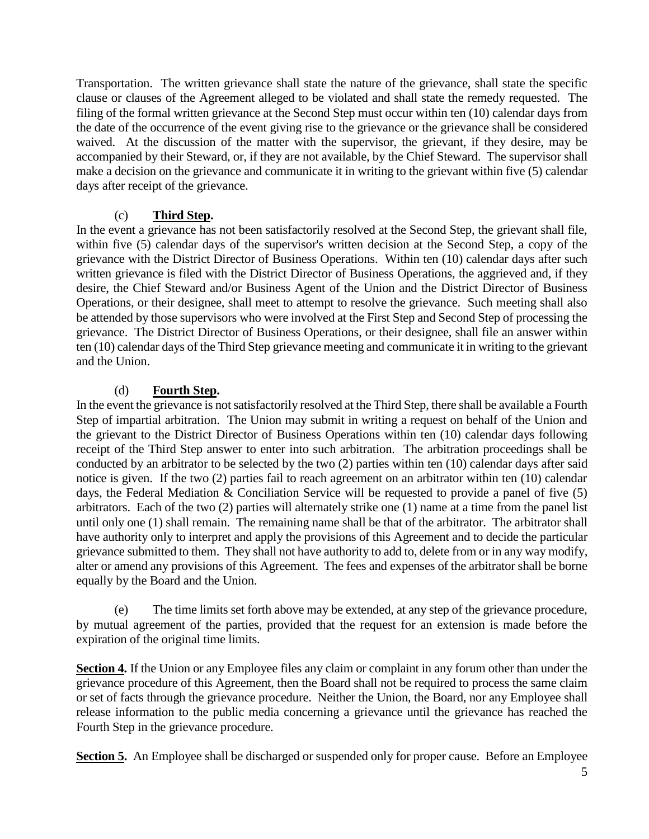Transportation. The written grievance shall state the nature of the grievance, shall state the specific clause or clauses of the Agreement alleged to be violated and shall state the remedy requested. The filing of the formal written grievance at the Second Step must occur within ten (10) calendar days from the date of the occurrence of the event giving rise to the grievance or the grievance shall be considered waived. At the discussion of the matter with the supervisor, the grievant, if they desire, may be accompanied by their Steward, or, if they are not available, by the Chief Steward. The supervisor shall make a decision on the grievance and communicate it in writing to the grievant within five (5) calendar days after receipt of the grievance.

### (c) **Third Step.**

In the event a grievance has not been satisfactorily resolved at the Second Step, the grievant shall file, within five (5) calendar days of the supervisor's written decision at the Second Step, a copy of the grievance with the District Director of Business Operations. Within ten (10) calendar days after such written grievance is filed with the District Director of Business Operations, the aggrieved and, if they desire, the Chief Steward and/or Business Agent of the Union and the District Director of Business Operations, or their designee, shall meet to attempt to resolve the grievance. Such meeting shall also be attended by those supervisors who were involved at the First Step and Second Step of processing the grievance. The District Director of Business Operations, or their designee, shall file an answer within ten (10) calendar days of the Third Step grievance meeting and communicate it in writing to the grievant and the Union.

### (d) **Fourth Step.**

In the event the grievance is not satisfactorily resolved at the Third Step, there shall be available a Fourth Step of impartial arbitration. The Union may submit in writing a request on behalf of the Union and the grievant to the District Director of Business Operations within ten (10) calendar days following receipt of the Third Step answer to enter into such arbitration. The arbitration proceedings shall be conducted by an arbitrator to be selected by the two (2) parties within ten (10) calendar days after said notice is given. If the two (2) parties fail to reach agreement on an arbitrator within ten (10) calendar days, the Federal Mediation & Conciliation Service will be requested to provide a panel of five (5) arbitrators. Each of the two (2) parties will alternately strike one (1) name at a time from the panel list until only one (1) shall remain. The remaining name shall be that of the arbitrator. The arbitrator shall have authority only to interpret and apply the provisions of this Agreement and to decide the particular grievance submitted to them. They shall not have authority to add to, delete from or in any way modify, alter or amend any provisions of this Agreement. The fees and expenses of the arbitrator shall be borne equally by the Board and the Union.

(e) The time limits set forth above may be extended, at any step of the grievance procedure, by mutual agreement of the parties, provided that the request for an extension is made before the expiration of the original time limits.

**Section 4.** If the Union or any Employee files any claim or complaint in any forum other than under the grievance procedure of this Agreement, then the Board shall not be required to process the same claim or set of facts through the grievance procedure. Neither the Union, the Board, nor any Employee shall release information to the public media concerning a grievance until the grievance has reached the Fourth Step in the grievance procedure.

**Section 5.** An Employee shall be discharged or suspended only for proper cause. Before an Employee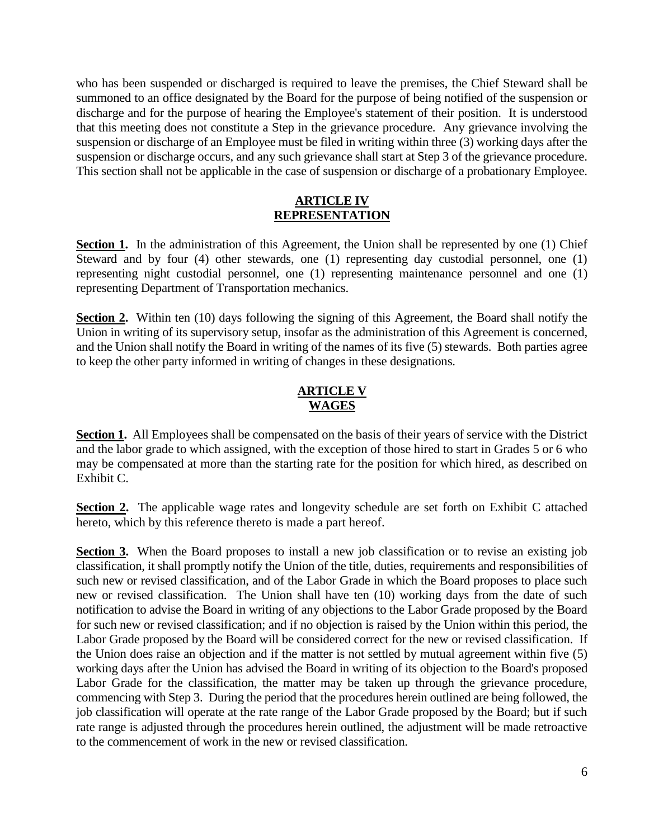who has been suspended or discharged is required to leave the premises, the Chief Steward shall be summoned to an office designated by the Board for the purpose of being notified of the suspension or discharge and for the purpose of hearing the Employee's statement of their position. It is understood that this meeting does not constitute a Step in the grievance procedure. Any grievance involving the suspension or discharge of an Employee must be filed in writing within three (3) working days after the suspension or discharge occurs, and any such grievance shall start at Step 3 of the grievance procedure. This section shall not be applicable in the case of suspension or discharge of a probationary Employee.

#### **ARTICLE IV REPRESENTATION**

<span id="page-5-0"></span>**Section 1.** In the administration of this Agreement, the Union shall be represented by one (1) Chief Steward and by four (4) other stewards, one (1) representing day custodial personnel, one (1) representing night custodial personnel, one (1) representing maintenance personnel and one (1) representing Department of Transportation mechanics.

**Section 2.** Within ten (10) days following the signing of this Agreement, the Board shall notify the Union in writing of its supervisory setup, insofar as the administration of this Agreement is concerned, and the Union shall notify the Board in writing of the names of its five (5) stewards. Both parties agree to keep the other party informed in writing of changes in these designations.

## **ARTICLE V WAGES**

<span id="page-5-1"></span>**Section 1.** All Employees shall be compensated on the basis of their years of service with the District and the labor grade to which assigned, with the exception of those hired to start in Grades 5 or 6 who may be compensated at more than the starting rate for the position for which hired, as described on Exhibit C.

**Section 2.** The applicable wage rates and longevity schedule are set forth on Exhibit C attached hereto, which by this reference thereto is made a part hereof.

<span id="page-5-2"></span>**Section 3.** When the Board proposes to install a new job classification or to revise an existing job classification, it shall promptly notify the Union of the title, duties, requirements and responsibilities of such new or revised classification, and of the Labor Grade in which the Board proposes to place such new or revised classification. The Union shall have ten (10) working days from the date of such notification to advise the Board in writing of any objections to the Labor Grade proposed by the Board for such new or revised classification; and if no objection is raised by the Union within this period, the Labor Grade proposed by the Board will be considered correct for the new or revised classification. If the Union does raise an objection and if the matter is not settled by mutual agreement within five (5) working days after the Union has advised the Board in writing of its objection to the Board's proposed Labor Grade for the classification, the matter may be taken up through the grievance procedure, commencing with Step 3. During the period that the procedures herein outlined are being followed, the job classification will operate at the rate range of the Labor Grade proposed by the Board; but if such rate range is adjusted through the procedures herein outlined, the adjustment will be made retroactive to the commencement of work in the new or revised classification.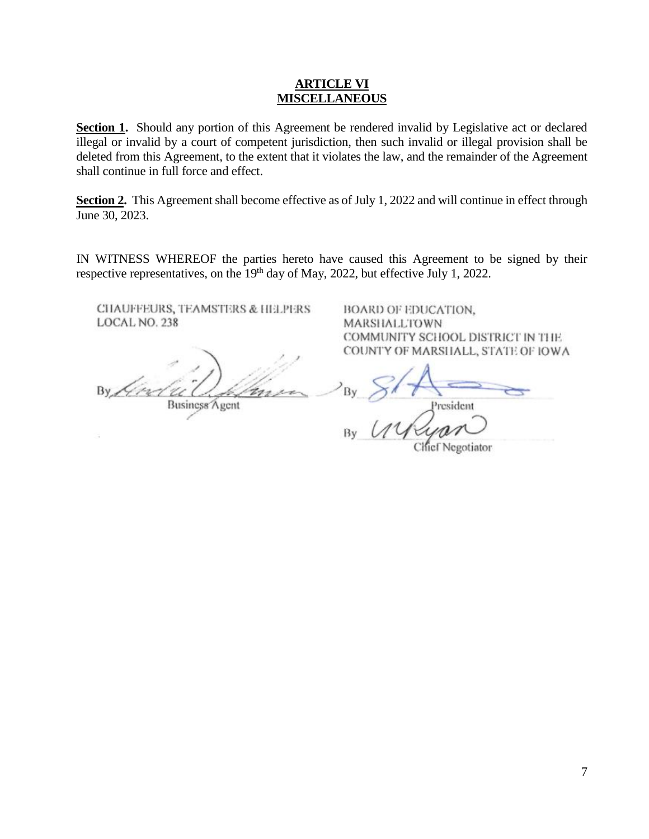#### **ARTICLE VI MISCELLANEOUS**

Section 1. Should any portion of this Agreement be rendered invalid by Legislative act or declared illegal or invalid by a court of competent jurisdiction, then such invalid or illegal provision shall be deleted from this Agreement, to the extent that it violates the law, and the remainder of the Agreement shall continue in full force and effect.

Section 2. This Agreement shall become effective as of July 1, 2022 and will continue in effect through June 30, 2023.

IN WITNESS WHEREOF the parties hereto have caused this Agreement to be signed by their respective representatives, on the 19<sup>th</sup> day of May, 2022, but effective July 1, 2022.

CHAUFFEURS, TEAMSTERS & HELPERS LOCAL NO. 238

<span id="page-6-0"></span>By King Business Agent

BOARD OF EDUCATION, **MARSHALLTOWN** COMMUNITY SCHOOL DISTRICT IN THE COUNTY OF MARSHALL, STATE OF IOWA

President

**Chief Negotiator**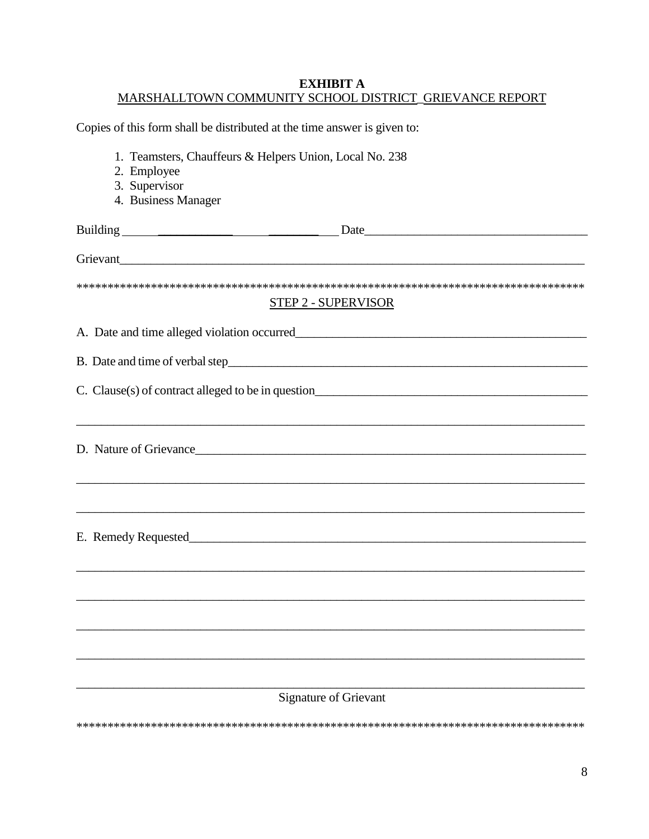# **EXHIBIT A** MARSHALLTOWN COMMUNITY SCHOOL DISTRICT\_GRIEVANCE REPORT

| Copies of this form shall be distributed at the time answer is given to:                                                                                              |  |  |  |  |
|-----------------------------------------------------------------------------------------------------------------------------------------------------------------------|--|--|--|--|
| 1. Teamsters, Chauffeurs & Helpers Union, Local No. 238                                                                                                               |  |  |  |  |
| 2. Employee                                                                                                                                                           |  |  |  |  |
| 3. Supervisor                                                                                                                                                         |  |  |  |  |
| 4. Business Manager                                                                                                                                                   |  |  |  |  |
|                                                                                                                                                                       |  |  |  |  |
| Grievant                                                                                                                                                              |  |  |  |  |
| <b>STEP 2 - SUPERVISOR</b>                                                                                                                                            |  |  |  |  |
|                                                                                                                                                                       |  |  |  |  |
| A. Date and time alleged violation occurred <b>A. A. A. Date and time alleged</b> violation occurred                                                                  |  |  |  |  |
|                                                                                                                                                                       |  |  |  |  |
|                                                                                                                                                                       |  |  |  |  |
|                                                                                                                                                                       |  |  |  |  |
|                                                                                                                                                                       |  |  |  |  |
| ,我们也不能在这里的时候,我们也不能在这里的时候,我们也不能会在这里的时候,我们也不能会在这里的时候,我们也不能会在这里的时候,我们也不能会在这里的时候,我们也不<br>,我们也不能在这里的时候,我们也不能在这里的时候,我们也不能会在这里,我们也不能会在这里的时候,我们也不能会在这里的时候,我们也不能会在这里的时候,我们也不能会 |  |  |  |  |
|                                                                                                                                                                       |  |  |  |  |
|                                                                                                                                                                       |  |  |  |  |
|                                                                                                                                                                       |  |  |  |  |
|                                                                                                                                                                       |  |  |  |  |
|                                                                                                                                                                       |  |  |  |  |
|                                                                                                                                                                       |  |  |  |  |
| <b>Signature of Grievant</b>                                                                                                                                          |  |  |  |  |
|                                                                                                                                                                       |  |  |  |  |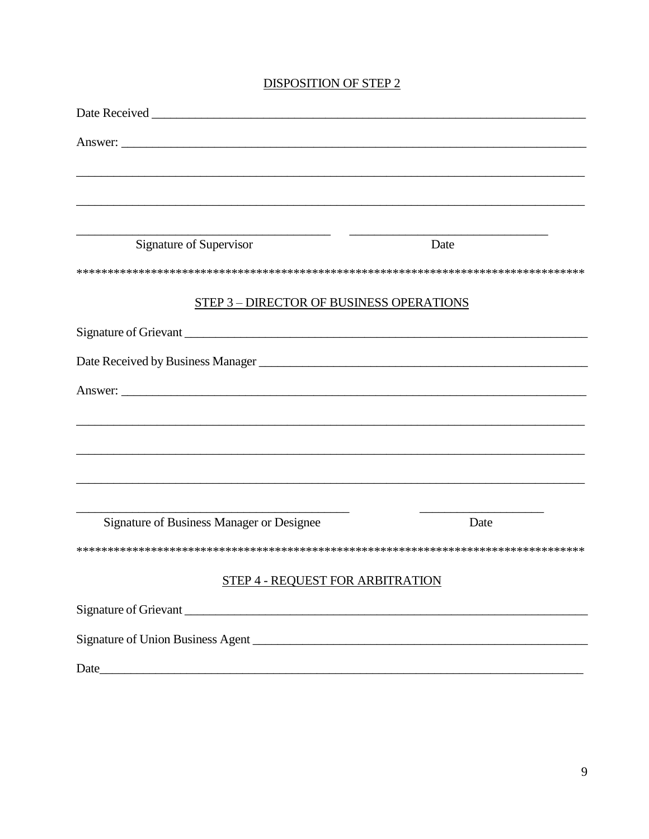### **DISPOSITION OF STEP 2**

| Date Received No. 1996                                                            |      |
|-----------------------------------------------------------------------------------|------|
|                                                                                   |      |
|                                                                                   |      |
|                                                                                   |      |
|                                                                                   |      |
| Signature of Supervisor                                                           | Date |
|                                                                                   |      |
| <b>STEP 3 - DIRECTOR OF BUSINESS OPERATIONS</b>                                   |      |
|                                                                                   |      |
|                                                                                   |      |
| Answer:                                                                           |      |
| ,我们也不能在这里的时候,我们也不能在这里的时候,我们也不能不能不能不能不能不能不能不能不能不能不能不能不能不能不能。""我们不能不能不能不能不能不能不能不能不能 |      |
|                                                                                   |      |
|                                                                                   |      |
|                                                                                   |      |
| Signature of Business Manager or Designee                                         | Date |
|                                                                                   |      |
| STEP 4 - REQUEST FOR ARBITRATION                                                  |      |
|                                                                                   |      |
|                                                                                   |      |
|                                                                                   |      |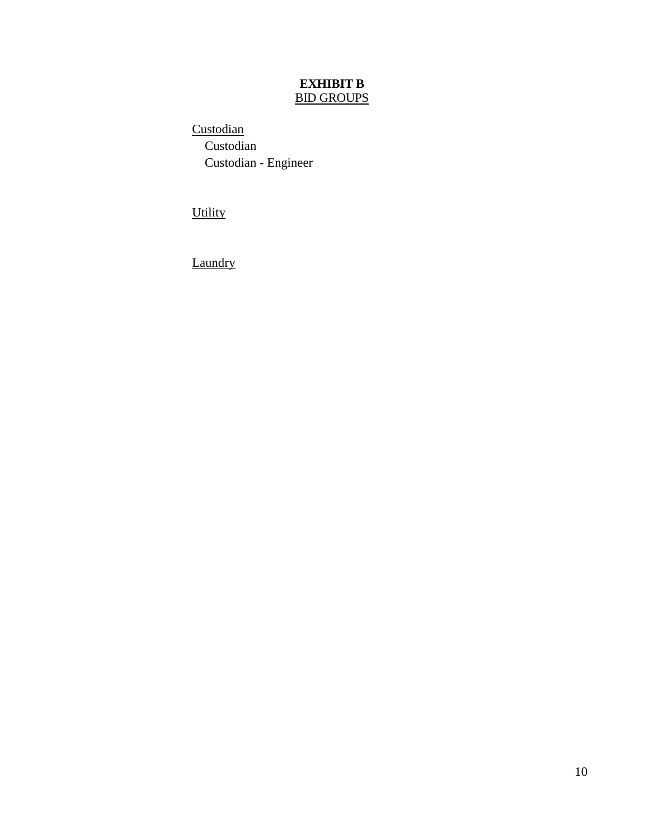# **EXHIBIT B** BID GROUPS

<span id="page-9-0"></span>**Custodian**  Custodian Custodian - Engineer

**Utility** 

**Laundry**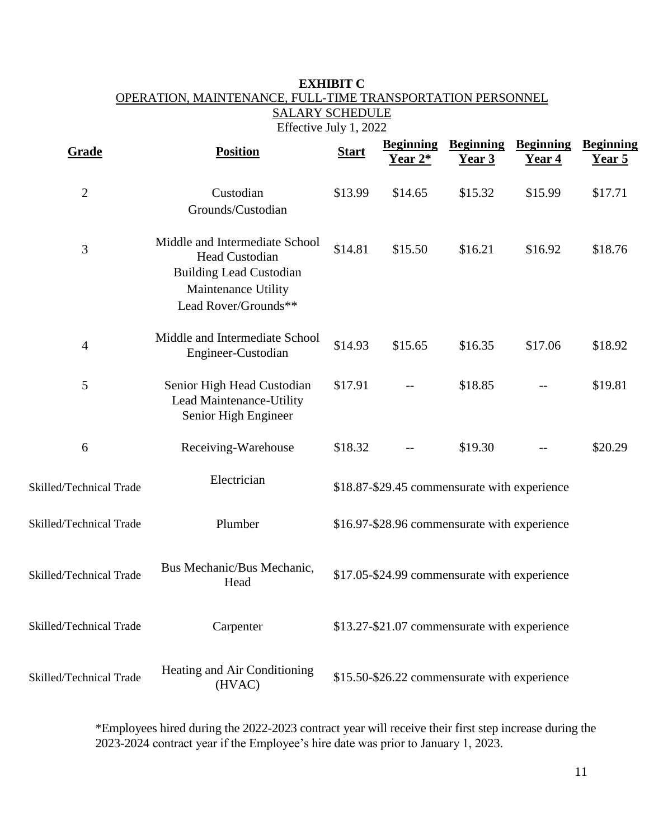# <span id="page-10-0"></span>**EXHIBIT C** OPERATION, MAINTENANCE, FULL-TIME TRANSPORTATION PERSONNEL SALARY SCHEDULE

Effective July 1, 2022

| Grade                   | <b>Position</b>                                                                                                                   | <b>Start</b>                                 | <b>Beginning</b><br>Year 2*                  | <b>Beginning</b><br><u>Year 3</u> | <b>Beginning</b><br>Year 4 | <b>Beginning</b><br>Year 5 |
|-------------------------|-----------------------------------------------------------------------------------------------------------------------------------|----------------------------------------------|----------------------------------------------|-----------------------------------|----------------------------|----------------------------|
| $\overline{2}$          | Custodian<br>Grounds/Custodian                                                                                                    | \$13.99                                      | \$14.65                                      | \$15.32                           | \$15.99                    | \$17.71                    |
| 3                       | Middle and Intermediate School<br>Head Custodian<br><b>Building Lead Custodian</b><br>Maintenance Utility<br>Lead Rover/Grounds** | \$14.81                                      | \$15.50                                      | \$16.21                           | \$16.92                    | \$18.76                    |
| $\overline{4}$          | Middle and Intermediate School<br>Engineer-Custodian                                                                              | \$14.93                                      | \$15.65                                      | \$16.35                           | \$17.06                    | \$18.92                    |
| 5                       | Senior High Head Custodian<br>Lead Maintenance-Utility<br>Senior High Engineer                                                    | \$17.91                                      |                                              | \$18.85                           |                            | \$19.81                    |
| 6                       | Receiving-Warehouse                                                                                                               | \$18.32                                      |                                              | \$19.30                           |                            | \$20.29                    |
| Skilled/Technical Trade | Electrician                                                                                                                       |                                              | \$18.87-\$29.45 commensurate with experience |                                   |                            |                            |
| Skilled/Technical Trade | Plumber                                                                                                                           |                                              | \$16.97-\$28.96 commensurate with experience |                                   |                            |                            |
| Skilled/Technical Trade | Bus Mechanic/Bus Mechanic,<br>Head                                                                                                | \$17.05-\$24.99 commensurate with experience |                                              |                                   |                            |                            |
| Skilled/Technical Trade | Carpenter                                                                                                                         |                                              | \$13.27-\$21.07 commensurate with experience |                                   |                            |                            |
| Skilled/Technical Trade | Heating and Air Conditioning<br>(HVAC)                                                                                            | \$15.50-\$26.22 commensurate with experience |                                              |                                   |                            |                            |

\*Employees hired during the 2022-2023 contract year will receive their first step increase during the 2023-2024 contract year if the Employee's hire date was prior to January 1, 2023.